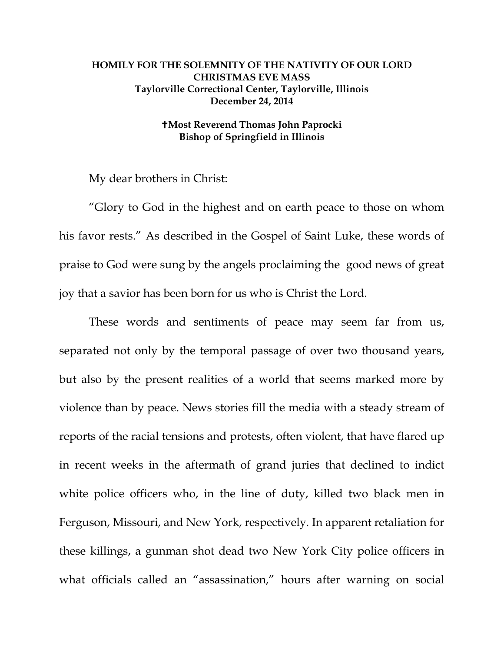## **HOMILY FOR THE SOLEMNITY OF THE NATIVITY OF OUR LORD CHRISTMAS EVE MASS Taylorville Correctional Center, Taylorville, Illinois December 24, 2014**

## **Most Reverend Thomas John Paprocki Bishop of Springfield in Illinois**

My dear brothers in Christ:

"Glory to God in the highest and on earth peace to those on whom his favor rests." As described in the Gospel of Saint Luke, these words of praise to God were sung by the angels proclaiming the good news of great joy that a savior has been born for us who is Christ the Lord.

These words and sentiments of peace may seem far from us, separated not only by the temporal passage of over two thousand years, but also by the present realities of a world that seems marked more by violence than by peace. News stories fill the media with a steady stream of reports of the racial tensions and protests, often violent, that have flared up in recent weeks in the aftermath of grand juries that declined to indict white police officers who, in the line of duty, killed two black men in Ferguson, Missouri, and New York, respectively. In apparent retaliation for these killings, a gunman shot dead two New York City police officers in what officials called an "assassination," hours after warning on social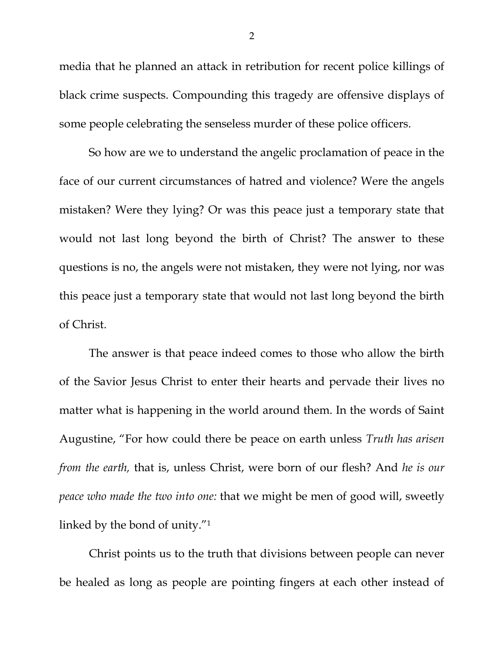media that he planned an attack in retribution for recent police killings of black crime suspects. Compounding this tragedy are offensive displays of some people celebrating the senseless murder of these police officers.

So how are we to understand the angelic proclamation of peace in the face of our current circumstances of hatred and violence? Were the angels mistaken? Were they lying? Or was this peace just a temporary state that would not last long beyond the birth of Christ? The answer to these questions is no, the angels were not mistaken, they were not lying, nor was this peace just a temporary state that would not last long beyond the birth of Christ.

The answer is that peace indeed comes to those who allow the birth of the Savior Jesus Christ to enter their hearts and pervade their lives no matter what is happening in the world around them. In the words of Saint Augustine, "For how could there be peace on earth unless *Truth has arisen from the earth,* that is, unless Christ, were born of our flesh? And *he is our peace who made the two into one:* that we might be men of good will, sweetly linked by the bond of unity."<sup>1</sup>

Christ points us to the truth that divisions between people can never be healed as long as people are pointing fingers at each other instead of

2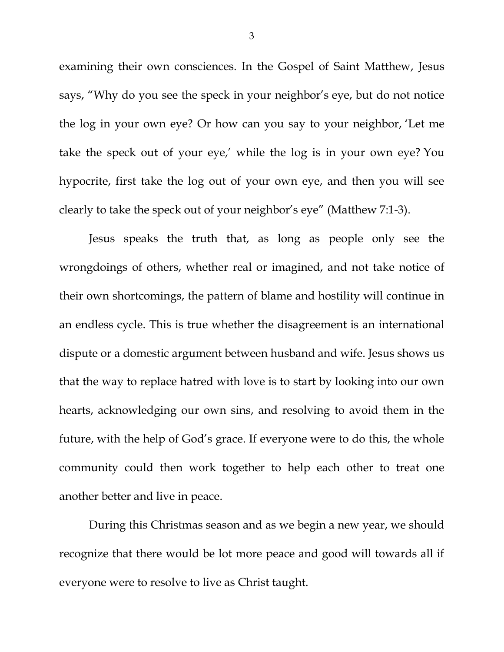examining their own consciences. In the Gospel of Saint Matthew, Jesus says, "Why do you see the speck in your neighbor's eye, but do not notice the log in your own eye? Or how can you say to your neighbor, 'Let me take the speck out of your eye,' while the log is in your own eye? You hypocrite, first take the log out of your own eye, and then you will see clearly to take the speck out of your neighbor's eye" (Matthew 7:1-3).

Jesus speaks the truth that, as long as people only see the wrongdoings of others, whether real or imagined, and not take notice of their own shortcomings, the pattern of blame and hostility will continue in an endless cycle. This is true whether the disagreement is an international dispute or a domestic argument between husband and wife. Jesus shows us that the way to replace hatred with love is to start by looking into our own hearts, acknowledging our own sins, and resolving to avoid them in the future, with the help of God's grace. If everyone were to do this, the whole community could then work together to help each other to treat one another better and live in peace.

During this Christmas season and as we begin a new year, we should recognize that there would be lot more peace and good will towards all if everyone were to resolve to live as Christ taught.

3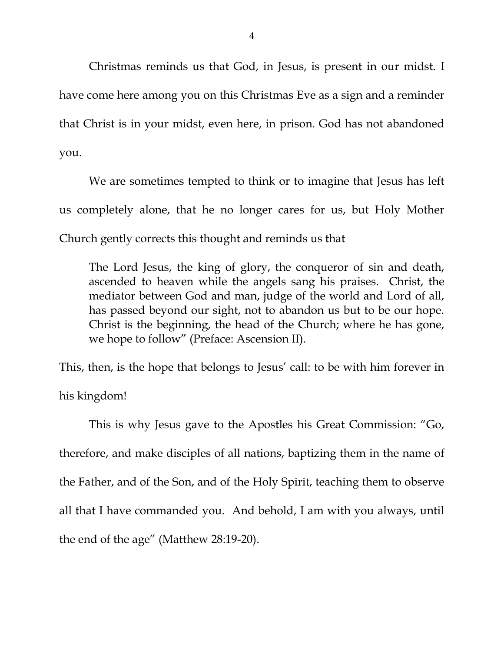Christmas reminds us that God, in Jesus, is present in our midst. I have come here among you on this Christmas Eve as a sign and a reminder that Christ is in your midst, even here, in prison. God has not abandoned you.

We are sometimes tempted to think or to imagine that Jesus has left us completely alone, that he no longer cares for us, but Holy Mother Church gently corrects this thought and reminds us that

The Lord Jesus, the king of glory, the conqueror of sin and death, ascended to heaven while the angels sang his praises. Christ, the mediator between God and man, judge of the world and Lord of all, has passed beyond our sight, not to abandon us but to be our hope. Christ is the beginning, the head of the Church; where he has gone, we hope to follow" (Preface: Ascension II).

This, then, is the hope that belongs to Jesus' call: to be with him forever in his kingdom!

This is why Jesus gave to the Apostles his Great Commission: "Go, therefore, and make disciples of all nations, baptizing them in the name of the Father, and of the Son, and of the Holy Spirit, teaching them to observe all that I have commanded you. And behold, I am with you always, until the end of the age" (Matthew 28:19-20).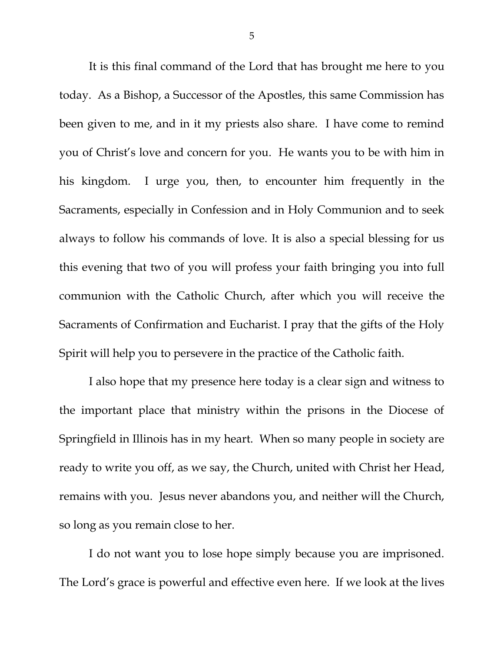It is this final command of the Lord that has brought me here to you today. As a Bishop, a Successor of the Apostles, this same Commission has been given to me, and in it my priests also share. I have come to remind you of Christ's love and concern for you. He wants you to be with him in his kingdom. I urge you, then, to encounter him frequently in the Sacraments, especially in Confession and in Holy Communion and to seek always to follow his commands of love. It is also a special blessing for us this evening that two of you will profess your faith bringing you into full communion with the Catholic Church, after which you will receive the Sacraments of Confirmation and Eucharist. I pray that the gifts of the Holy Spirit will help you to persevere in the practice of the Catholic faith.

I also hope that my presence here today is a clear sign and witness to the important place that ministry within the prisons in the Diocese of Springfield in Illinois has in my heart. When so many people in society are ready to write you off, as we say, the Church, united with Christ her Head, remains with you. Jesus never abandons you, and neither will the Church, so long as you remain close to her.

I do not want you to lose hope simply because you are imprisoned. The Lord's grace is powerful and effective even here. If we look at the lives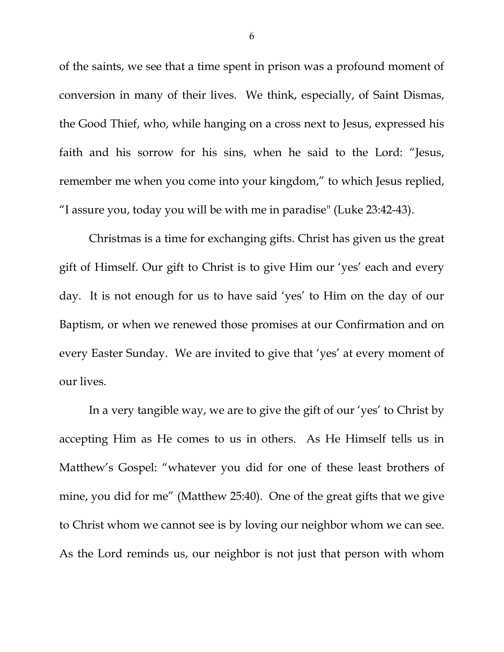of the saints, we see that a time spent in prison was a profound moment of conversion in many of their lives. We think, especially, of Saint Dismas, the Good Thief, who, while hanging on a cross next to Jesus, expressed his faith and his sorrow for his sins, when he said to the Lord: "Jesus, remember me when you come into your kingdom," to which Jesus replied, "I assure you, today you will be with me in paradise" (Luke 23:42-43).

Christmas is a time for exchanging gifts. Christ has given us the great gift of Himself. Our gift to Christ is to give Him our 'yes' each and every day. It is not enough for us to have said 'yes' to Him on the day of our Baptism, or when we renewed those promises at our Confirmation and on every Easter Sunday. We are invited to give that 'yes' at every moment of our lives.

In a very tangible way, we are to give the gift of our 'yes' to Christ by accepting Him as He comes to us in others. As He Himself tells us in Matthew's Gospel: "whatever you did for one of these least brothers of mine, you did for me" (Matthew 25:40). One of the great gifts that we give to Christ whom we cannot see is by loving our neighbor whom we can see. As the Lord reminds us, our neighbor is not just that person with whom

6